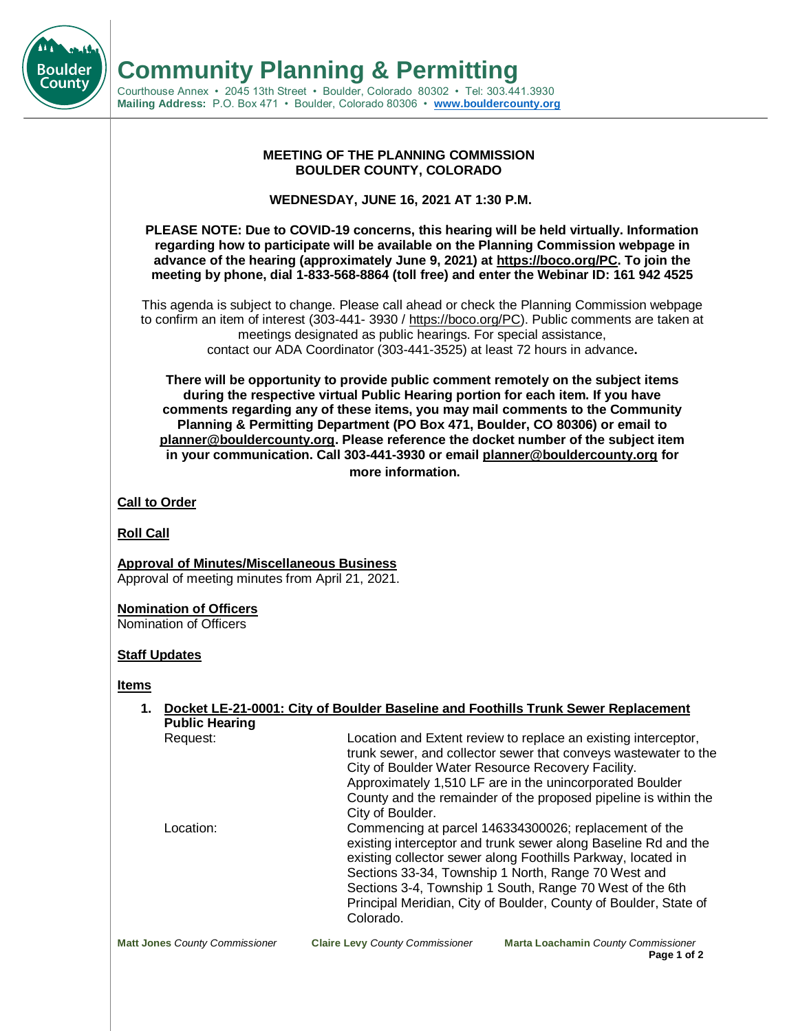

#### **MEETING OF THE PLANNING COMMISSION BOULDER COUNTY, COLORADO**

**WEDNESDAY, JUNE 16, 2021 AT 1:30 P.M.**

**PLEASE NOTE: Due to COVID-19 concerns, this hearing will be held virtually. Information regarding how to participate will be available on the Planning Commission webpage in advance of the hearing (approximately June 9, 2021) at https://boco.org/PC. To join the meeting by phone, dial 1-833-568-8864 (toll free) and enter the Webinar ID: 161 942 4525**

This agenda is subject to change. Please call ahead or check the Planning Commission webpage to confirm an item of interest (303-441- 3930 / https://boco.org/PC). Public comments are taken at meetings designated as public hearings. For special assistance, contact our ADA Coordinator (303-441-3525) at least 72 hours in advance**.**

**There will be opportunity to provide public comment remotely on the subject items during the respective virtual Public Hearing portion for each item. If you have comments regarding any of these items, you may mail comments to the Community Planning & Permitting Department (PO Box 471, Boulder, CO 80306) or email to planner@bouldercounty.org. Please reference the docket number of the subject item in your communication. Call 303-441-3930 or email planner@bouldercounty.org for more information.**

**Call to Order**

**Roll Call**

**Boulder** Countv

> **Approval of Minutes/Miscellaneous Business** Approval of meeting minutes from April 21, 2021.

**Nomination of Officers**

Nomination of Officers

### **Staff Updates**

**Items**

| 1.                                    |                                                                                                                                                                                                                                                                                                                                           | Docket LE-21-0001: City of Boulder Baseline and Foothills Trunk Sewer Replacement                                                                                                                                                                                                                                                                                              |
|---------------------------------------|-------------------------------------------------------------------------------------------------------------------------------------------------------------------------------------------------------------------------------------------------------------------------------------------------------------------------------------------|--------------------------------------------------------------------------------------------------------------------------------------------------------------------------------------------------------------------------------------------------------------------------------------------------------------------------------------------------------------------------------|
| <b>Public Hearing</b>                 |                                                                                                                                                                                                                                                                                                                                           |                                                                                                                                                                                                                                                                                                                                                                                |
| Request:                              | Location and Extent review to replace an existing interceptor,<br>trunk sewer, and collector sewer that conveys wastewater to the<br>City of Boulder Water Resource Recovery Facility.<br>Approximately 1,510 LF are in the unincorporated Boulder<br>County and the remainder of the proposed pipeline is within the<br>City of Boulder. |                                                                                                                                                                                                                                                                                                                                                                                |
| Location:                             | Colorado.                                                                                                                                                                                                                                                                                                                                 | Commencing at parcel 146334300026; replacement of the<br>existing interceptor and trunk sewer along Baseline Rd and the<br>existing collector sewer along Foothills Parkway, located in<br>Sections 33-34, Township 1 North, Range 70 West and<br>Sections 3-4, Township 1 South, Range 70 West of the 6th<br>Principal Meridian, City of Boulder, County of Boulder, State of |
| <b>Matt Jones County Commissioner</b> | <b>Claire Levy County Commissioner</b>                                                                                                                                                                                                                                                                                                    | Marta Loachamin County Commissioner                                                                                                                                                                                                                                                                                                                                            |

**Page 1 of 2**